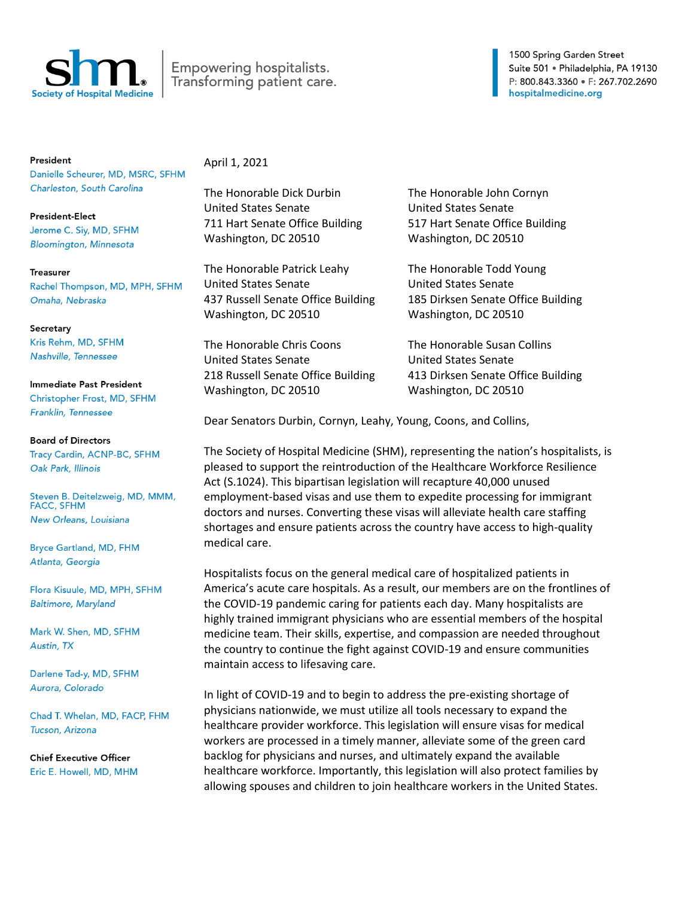

## Empowering hospitalists. Transforming patient care.

President Danielle Scheurer, MD, MSRC, SFHM Charleston, South Carolina

**President-Elect** Jerome C. Siy, MD, SFHM **Bloomington, Minnesota** 

**Treasurer** Rachel Thompson, MD, MPH, SFHM Omaha, Nebraska

Secretary Kris Rehm, MD, SFHM Nashville, Tennessee

Immediate Past President Christopher Frost, MD, SFHM Franklin, Tennessee

**Board of Directors** Tracy Cardin, ACNP-BC, SFHM Oak Park, Illinois

Steven B. Deitelzweig, MD, MMM, **FACC, SFHM** New Orleans, Louisiana

**Bryce Gartland, MD, FHM** Atlanta, Georgia

Flora Kisuule, MD, MPH, SFHM **Baltimore, Maryland** 

Mark W. Shen, MD, SFHM Austin, TX

Darlene Tad-y, MD, SFHM Aurora, Colorado

Chad T. Whelan, MD, FACP, FHM Tucson, Arizona

**Chief Executive Officer** Eric E. Howell, MD, MHM April 1, 2021

The Honorable Dick Durbin The Honorable John Cornyn United States Senate United States Senate 711 Hart Senate Office Building 517 Hart Senate Office Building Washington, DC 20510 Washington, DC 20510

The Honorable Patrick Leahy The Honorable Todd Young United States Senate United States Senate Washington, DC 20510 Washington, DC 20510

The Honorable Chris Coons The Honorable Susan Collins United States Senate United States Senate Washington, DC 20510 Washington, DC 20510

437 Russell Senate Office Building 185 Dirksen Senate Office Building

218 Russell Senate Office Building 413 Dirksen Senate Office Building

Dear Senators Durbin, Cornyn, Leahy, Young, Coons, and Collins,

The Society of Hospital Medicine (SHM), representing the nation's hospitalists, is pleased to support the reintroduction of the Healthcare Workforce Resilience Act (S.1024). This bipartisan legislation will recapture 40,000 unused employment-based visas and use them to expedite processing for immigrant doctors and nurses. Converting these visas will alleviate health care staffing shortages and ensure patients across the country have access to high-quality medical care.

Hospitalists focus on the general medical care of hospitalized patients in America's acute care hospitals. As a result, our members are on the frontlines of the COVID-19 pandemic caring for patients each day. Many hospitalists are highly trained immigrant physicians who are essential members of the hospital medicine team. Their skills, expertise, and compassion are needed throughout the country to continue the fight against COVID-19 and ensure communities maintain access to lifesaving care.

In light of COVID-19 and to begin to address the pre-existing shortage of physicians nationwide, we must utilize all tools necessary to expand the healthcare provider workforce. This legislation will ensure visas for medical workers are processed in a timely manner, alleviate some of the green card backlog for physicians and nurses, and ultimately expand the available healthcare workforce. Importantly, this legislation will also protect families by allowing spouses and children to join healthcare workers in the United States.